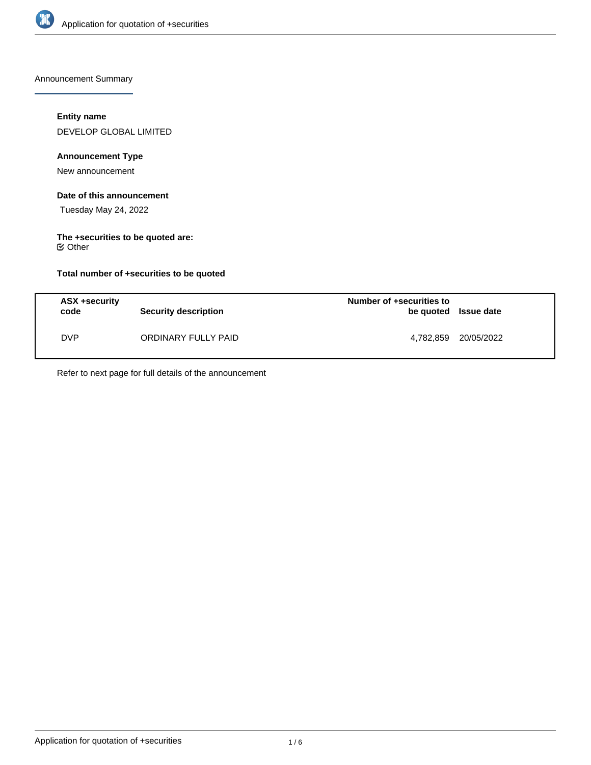

Announcement Summary

## **Entity name**

DEVELOP GLOBAL LIMITED

# **Announcement Type**

New announcement

## **Date of this announcement**

Tuesday May 24, 2022

# **The +securities to be quoted are:**

Other

## **Total number of +securities to be quoted**

| ASX +security<br>code | <b>Security description</b> | Number of +securities to<br>be quoted Issue date |            |
|-----------------------|-----------------------------|--------------------------------------------------|------------|
| <b>DVP</b>            | ORDINARY FULLY PAID         | 4,782,859                                        | 20/05/2022 |

Refer to next page for full details of the announcement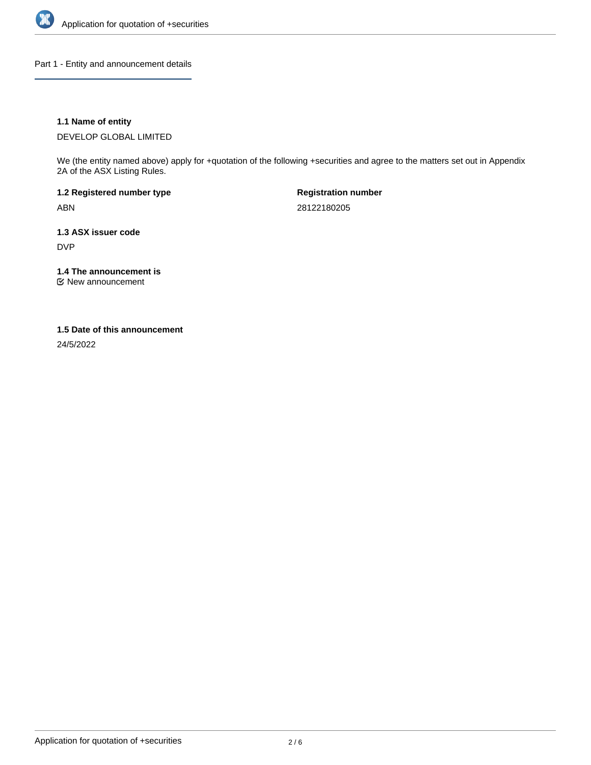

Part 1 - Entity and announcement details

## **1.1 Name of entity**

DEVELOP GLOBAL LIMITED

We (the entity named above) apply for +quotation of the following +securities and agree to the matters set out in Appendix 2A of the ASX Listing Rules.

**1.2 Registered number type** ABN

**Registration number** 28122180205

**1.3 ASX issuer code** DVP

**1.4 The announcement is**

New announcement

## **1.5 Date of this announcement**

24/5/2022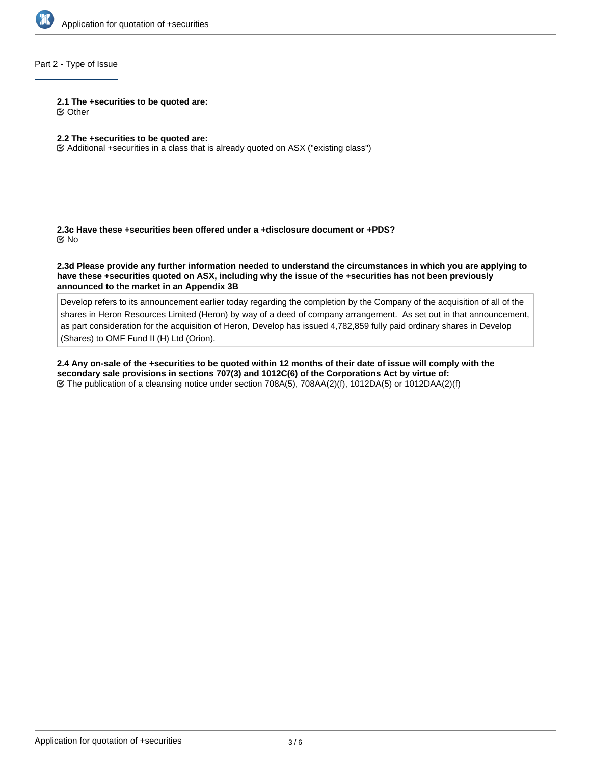

# Part 2 - Type of Issue

#### **2.1 The +securities to be quoted are:**

Other

## **2.2 The +securities to be quoted are:**

Additional +securities in a class that is already quoted on ASX ("existing class")

**2.3c Have these +securities been offered under a +disclosure document or +PDS?** No

**2.3d Please provide any further information needed to understand the circumstances in which you are applying to have these +securities quoted on ASX, including why the issue of the +securities has not been previously announced to the market in an Appendix 3B**

Develop refers to its announcement earlier today regarding the completion by the Company of the acquisition of all of the shares in Heron Resources Limited (Heron) by way of a deed of company arrangement. As set out in that announcement, as part consideration for the acquisition of Heron, Develop has issued 4,782,859 fully paid ordinary shares in Develop (Shares) to OMF Fund II (H) Ltd (Orion).

**2.4 Any on-sale of the +securities to be quoted within 12 months of their date of issue will comply with the secondary sale provisions in sections 707(3) and 1012C(6) of the Corporations Act by virtue of:**  $\heartsuit$  The publication of a cleansing notice under section 708A(5), 708AA(2)(f), 1012DA(5) or 1012DAA(2)(f)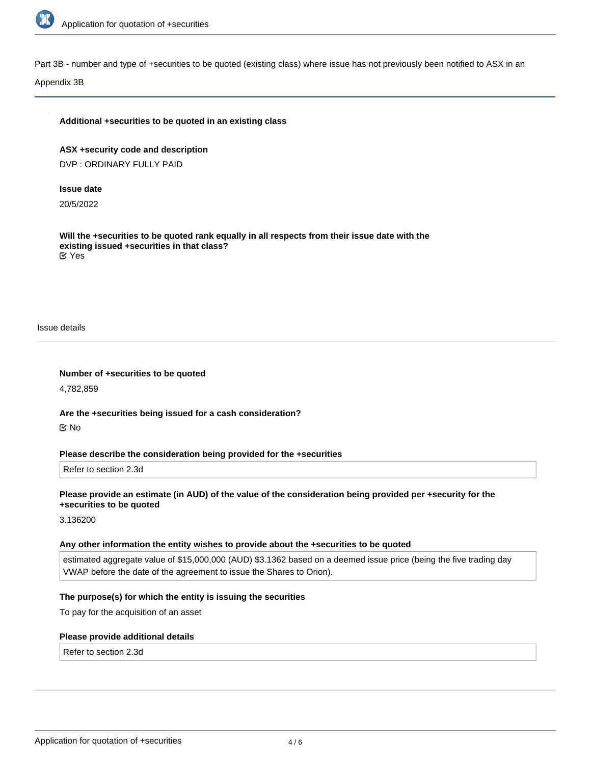

Part 3B - number and type of +securities to be quoted (existing class) where issue has not previously been notified to ASX in an

#### Appendix 3B

#### **Additional +securities to be quoted in an existing class**

**ASX +security code and description** DVP : ORDINARY FULLY PAID

#### **Issue date**

20/5/2022

**Will the +securities to be quoted rank equally in all respects from their issue date with the existing issued +securities in that class?** Yes

Issue details

**Number of +securities to be quoted**

4,782,859

**Are the +securities being issued for a cash consideration?** No

#### **Please describe the consideration being provided for the +securities**

Refer to section 2.3d

## **Please provide an estimate (in AUD) of the value of the consideration being provided per +security for the +securities to be quoted**

3.136200

#### **Any other information the entity wishes to provide about the +securities to be quoted**

estimated aggregate value of \$15,000,000 (AUD) \$3.1362 based on a deemed issue price (being the five trading day VWAP before the date of the agreement to issue the Shares to Orion).

### **The purpose(s) for which the entity is issuing the securities**

To pay for the acquisition of an asset

#### **Please provide additional details**

Refer to section 2.3d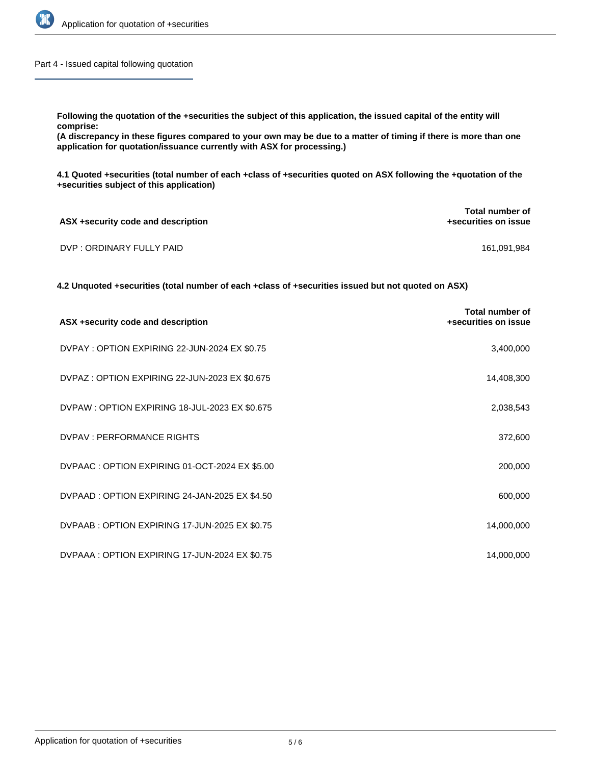

Part 4 - Issued capital following quotation

**Following the quotation of the +securities the subject of this application, the issued capital of the entity will comprise:**

**(A discrepancy in these figures compared to your own may be due to a matter of timing if there is more than one application for quotation/issuance currently with ASX for processing.)**

**4.1 Quoted +securities (total number of each +class of +securities quoted on ASX following the +quotation of the +securities subject of this application)**

| ASX +security code and description | Total number of<br>+securities on issue |
|------------------------------------|-----------------------------------------|
| DVP : ORDINARY FULLY PAID          | 161.091.984                             |

**4.2 Unquoted +securities (total number of each +class of +securities issued but not quoted on ASX)**

| ASX +security code and description             | Total number of<br>+securities on issue |
|------------------------------------------------|-----------------------------------------|
| DVPAY: OPTION EXPIRING 22-JUN-2024 EX \$0.75   | 3,400,000                               |
| DVPAZ: OPTION EXPIRING 22-JUN-2023 EX \$0.675  | 14,408,300                              |
| DVPAW: OPTION EXPIRING 18-JUL-2023 EX \$0.675  | 2,038,543                               |
| DVPAV : PERFORMANCE RIGHTS                     | 372,600                                 |
| DVPAAC: OPTION EXPIRING 01-OCT-2024 EX \$5.00  | 200,000                                 |
| DVPAAD: OPTION EXPIRING 24-JAN-2025 EX \$4.50  | 600,000                                 |
| DVPAAB: OPTION EXPIRING 17-JUN-2025 EX \$0.75  | 14,000,000                              |
| DVPAAA : OPTION EXPIRING 17-JUN-2024 EX \$0.75 | 14,000,000                              |